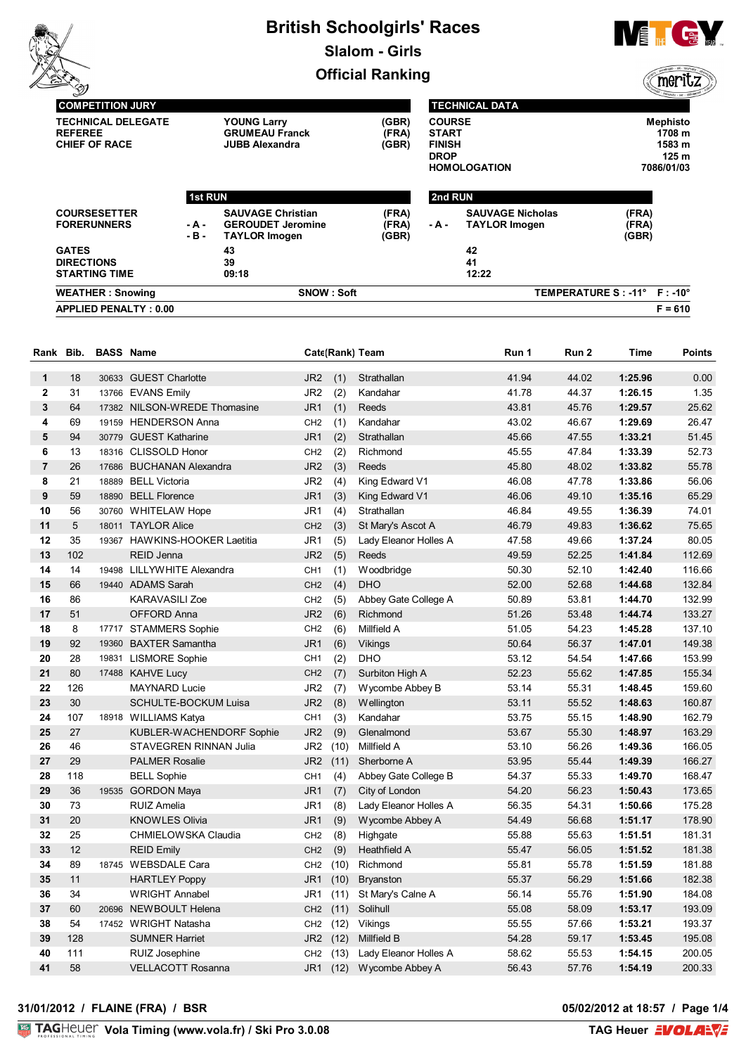# **British Schoolgirls' Races Slalom - Girls**

**Official Ranking**



meritz

| <b>COMPETITION JURY</b>                                             |                 |                                                                              |                         | <b>TECHNICAL DATA</b>                                                                |                                                 |                         |                                                            |
|---------------------------------------------------------------------|-----------------|------------------------------------------------------------------------------|-------------------------|--------------------------------------------------------------------------------------|-------------------------------------------------|-------------------------|------------------------------------------------------------|
| <b>TECHNICAL DELEGATE</b><br><b>REFEREE</b><br><b>CHIEF OF RACE</b> |                 | <b>YOUNG Larry</b><br><b>GRUMEAU Franck</b><br><b>JUBB Alexandra</b>         | (GBR)<br>(FRA)<br>(GBR) | <b>COURSE</b><br><b>START</b><br><b>FINISH</b><br><b>DROP</b><br><b>HOMOLOGATION</b> |                                                 |                         | <b>Mephisto</b><br>1708 m<br>1583 m<br>125 m<br>7086/01/03 |
|                                                                     | <b>1st RUN</b>  |                                                                              |                         | 2nd RUN                                                                              |                                                 |                         |                                                            |
| <b>COURSESETTER</b><br><b>FORERUNNERS</b>                           | - A -<br>$-B -$ | <b>SAUVAGE Christian</b><br><b>GEROUDET Jeromine</b><br><b>TAYLOR Imogen</b> | (FRA)<br>(FRA)<br>(GBR) | - A -                                                                                | <b>SAUVAGE Nicholas</b><br><b>TAYLOR Imogen</b> | (FRA)<br>(FRA)<br>(GBR) |                                                            |
| <b>GATES</b><br><b>DIRECTIONS</b><br><b>STARTING TIME</b>           |                 | 43<br>39<br>09:18                                                            |                         |                                                                                      | 42<br>41<br>12:22                               |                         |                                                            |
| <b>WEATHER: Snowing</b>                                             |                 | SNOW: Soft                                                                   |                         |                                                                                      |                                                 | TEMPERATURE S : - 11°   | $F : -10^{\circ}$                                          |
| <b>APPLIED PENALTY: 0.00</b>                                        |                 |                                                                              |                         |                                                                                      |                                                 |                         | $F = 610$                                                  |

| Rank Bib.      |                 | <b>BASS Name</b> |                               |                 |      | Cate(Rank) Team       | Run 1 | Run 2 | <b>Time</b> | <b>Points</b> |
|----------------|-----------------|------------------|-------------------------------|-----------------|------|-----------------------|-------|-------|-------------|---------------|
| $\mathbf 1$    | 18              |                  | 30633 GUEST Charlotte         | JR <sub>2</sub> | (1)  | Strathallan           | 41.94 | 44.02 | 1:25.96     | 0.00          |
| $\bf{2}$       | 31              |                  | 13766 EVANS Emily             | JR <sub>2</sub> | (2)  | Kandahar              | 41.78 | 44.37 | 1:26.15     | 1.35          |
| 3              | 64              |                  | 17382 NILSON-WREDE Thomasine  | JR <sub>1</sub> | (1)  | Reeds                 | 43.81 | 45.76 | 1:29.57     | 25.62         |
| 4              | 69              |                  | 19159 HENDERSON Anna          | CH <sub>2</sub> | (1)  | Kandahar              | 43.02 | 46.67 | 1:29.69     | 26.47         |
| 5              | 94              |                  | 30779 GUEST Katharine         | JR <sub>1</sub> | (2)  | Strathallan           | 45.66 | 47.55 | 1:33.21     | 51.45         |
| 6              | 13              |                  | 18316 CLISSOLD Honor          | CH <sub>2</sub> | (2)  | Richmond              | 45.55 | 47.84 | 1:33.39     | 52.73         |
| $\overline{7}$ | 26              |                  | 17686 BUCHANAN Alexandra      | JR <sub>2</sub> | (3)  | Reeds                 | 45.80 | 48.02 | 1:33.82     | 55.78         |
| 8              | 21              |                  | 18889 BELL Victoria           | JR <sub>2</sub> | (4)  | King Edward V1        | 46.08 | 47.78 | 1:33.86     | 56.06         |
| 9              | 59              |                  | 18890 BELL Florence           | JR <sub>1</sub> | (3)  | King Edward V1        | 46.06 | 49.10 | 1:35.16     | 65.29         |
| 10             | 56              |                  | 30760 WHITELAW Hope           | JR1             | (4)  | Strathallan           | 46.84 | 49.55 | 1:36.39     | 74.01         |
| 11             | $5\phantom{.0}$ |                  | 18011 TAYLOR Alice            | CH <sub>2</sub> | (3)  | St Mary's Ascot A     | 46.79 | 49.83 | 1:36.62     | 75.65         |
| 12             | 35              |                  | 19367 HAWKINS-HOOKER Laetitia | JR1             | (5)  | Lady Eleanor Holles A | 47.58 | 49.66 | 1:37.24     | 80.05         |
| 13             | 102             |                  | <b>REID Jenna</b>             | JR <sub>2</sub> | (5)  | Reeds                 | 49.59 | 52.25 | 1:41.84     | 112.69        |
| 14             | 14              |                  | 19498 LILLYWHITE Alexandra    | CH <sub>1</sub> | (1)  | Woodbridge            | 50.30 | 52.10 | 1:42.40     | 116.66        |
| 15             | 66              |                  | 19440 ADAMS Sarah             | CH <sub>2</sub> | (4)  | <b>DHO</b>            | 52.00 | 52.68 | 1:44.68     | 132.84        |
| 16             | 86              |                  | <b>KARAVASILI Zoe</b>         | CH <sub>2</sub> | (5)  | Abbey Gate College A  | 50.89 | 53.81 | 1:44.70     | 132.99        |
| 17             | 51              |                  | OFFORD Anna                   | JR <sub>2</sub> | (6)  | Richmond              | 51.26 | 53.48 | 1:44.74     | 133.27        |
| 18             | 8               |                  | 17717 STAMMERS Sophie         | CH <sub>2</sub> | (6)  | Millfield A           | 51.05 | 54.23 | 1:45.28     | 137.10        |
| 19             | 92              |                  | 19360 BAXTER Samantha         | JR <sub>1</sub> | (6)  | Vikings               | 50.64 | 56.37 | 1:47.01     | 149.38        |
| 20             | 28              |                  | 19831 LISMORE Sophie          | CH <sub>1</sub> | (2)  | DHO                   | 53.12 | 54.54 | 1:47.66     | 153.99        |
| 21             | 80              |                  | 17488 KAHVE Lucy              | CH <sub>2</sub> | (7)  | Surbiton High A       | 52.23 | 55.62 | 1:47.85     | 155.34        |
| 22             | 126             |                  | <b>MAYNARD Lucie</b>          | JR <sub>2</sub> | (7)  | Wycombe Abbey B       | 53.14 | 55.31 | 1:48.45     | 159.60        |
| 23             | 30              |                  | <b>SCHULTE-BOCKUM Luisa</b>   | JR <sub>2</sub> | (8)  | Wellington            | 53.11 | 55.52 | 1:48.63     | 160.87        |
| 24             | 107             |                  | 18918 WILLIAMS Katya          | CH <sub>1</sub> | (3)  | Kandahar              | 53.75 | 55.15 | 1:48.90     | 162.79        |
| 25             | 27              |                  | KUBLER-WACHENDORF Sophie      | JR <sub>2</sub> | (9)  | Glenalmond            | 53.67 | 55.30 | 1:48.97     | 163.29        |
| 26             | 46              |                  | STAVEGREN RINNAN Julia        | JR <sub>2</sub> | (10) | Millfield A           | 53.10 | 56.26 | 1:49.36     | 166.05        |
| 27             | 29              |                  | <b>PALMER Rosalie</b>         | JR <sub>2</sub> | (11) | Sherborne A           | 53.95 | 55.44 | 1:49.39     | 166.27        |
| 28             | 118             |                  | <b>BELL Sophie</b>            | CH <sub>1</sub> | (4)  | Abbey Gate College B  | 54.37 | 55.33 | 1:49.70     | 168.47        |
| 29             | 36              |                  | 19535 GORDON Maya             | JR <sub>1</sub> | (7)  | City of London        | 54.20 | 56.23 | 1:50.43     | 173.65        |
| 30             | 73              |                  | <b>RUIZ Amelia</b>            | JR1             | (8)  | Lady Eleanor Holles A | 56.35 | 54.31 | 1:50.66     | 175.28        |
| 31             | 20              |                  | <b>KNOWLES Olivia</b>         | JR <sub>1</sub> | (9)  | Wycombe Abbey A       | 54.49 | 56.68 | 1:51.17     | 178.90        |
| 32             | 25              |                  | CHMIELOWSKA Claudia           | CH <sub>2</sub> | (8)  | Highgate              | 55.88 | 55.63 | 1:51.51     | 181.31        |
| 33             | 12              |                  | <b>REID Emily</b>             | CH <sub>2</sub> | (9)  | Heathfield A          | 55.47 | 56.05 | 1:51.52     | 181.38        |
| 34             | 89              |                  | 18745 WEBSDALE Cara           | CH <sub>2</sub> | (10) | Richmond              | 55.81 | 55.78 | 1:51.59     | 181.88        |
| 35             | 11              |                  | <b>HARTLEY Poppy</b>          | JR <sub>1</sub> | (10) | <b>Bryanston</b>      | 55.37 | 56.29 | 1:51.66     | 182.38        |
| 36             | 34              |                  | <b>WRIGHT Annabel</b>         | JR1             | (11) | St Mary's Calne A     | 56.14 | 55.76 | 1:51.90     | 184.08        |
| 37             | 60              |                  | 20696 NEWBOULT Helena         | CH <sub>2</sub> | (11) | Solihull              | 55.08 | 58.09 | 1:53.17     | 193.09        |
| 38             | 54              |                  | 17452 WRIGHT Natasha          | CH <sub>2</sub> | (12) | Vikings               | 55.55 | 57.66 | 1:53.21     | 193.37        |
| 39             | 128             |                  | <b>SUMNER Harriet</b>         | JR <sub>2</sub> | (12) | Millfield B           | 54.28 | 59.17 | 1:53.45     | 195.08        |
| 40             | 111             |                  | RUIZ Josephine                | CH <sub>2</sub> | (13) | Lady Eleanor Holles A | 58.62 | 55.53 | 1:54.15     | 200.05        |
| 41             | 58              |                  | <b>VELLACOTT Rosanna</b>      | JR <sub>1</sub> |      | (12) Wycombe Abbey A  | 56.43 | 57.76 | 1:54.19     | 200.33        |

#### **31/01/2012 / FLAINE (FRA) / BSR**

**05/02/2012 at 18:57 / Page 1/4**<br>TAG Heuer **EVOLANE**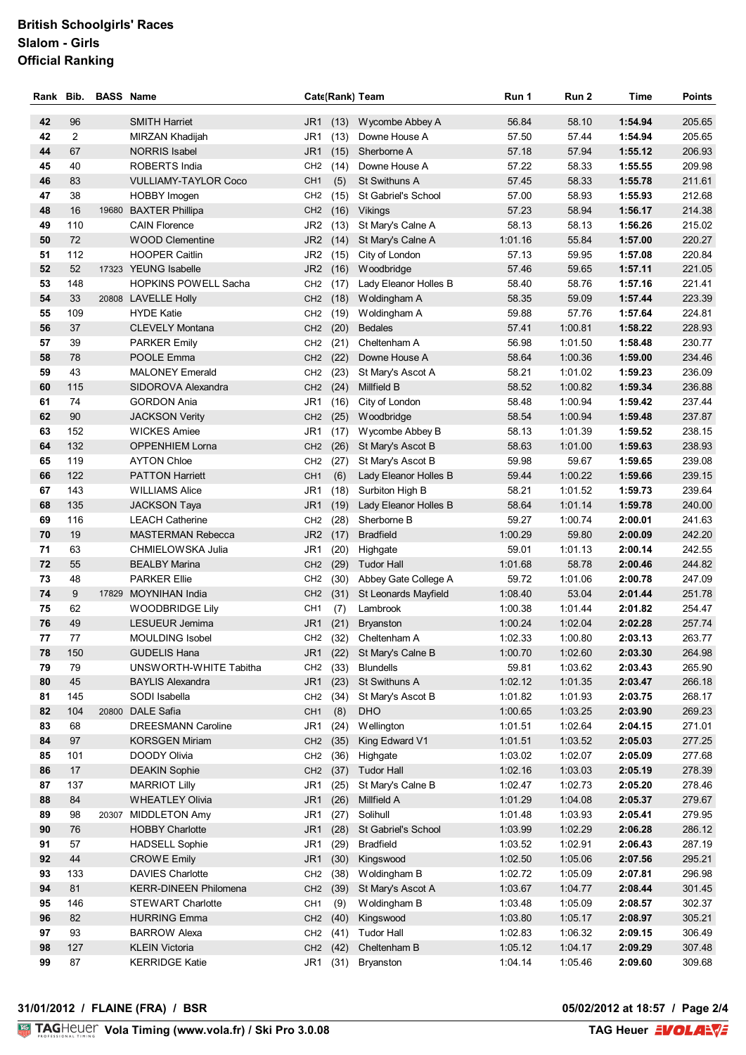### **British Schoolgirls' Races Slalom - Girls Official Ranking**

| Rank     | Bib.           | <b>BASS Name</b> |                                                |                                    |             | Cate(Rank) Team                   | Run 1              | Run 2            | Time               | <b>Points</b>    |
|----------|----------------|------------------|------------------------------------------------|------------------------------------|-------------|-----------------------------------|--------------------|------------------|--------------------|------------------|
| 42       | 96             |                  | <b>SMITH Harriet</b>                           | JR <sub>1</sub>                    | (13)        | Wycombe Abbey A                   | 56.84              | 58.10            | 1:54.94            | 205.65           |
| 42       | $\overline{2}$ |                  | MIRZAN Khadijah                                | JR1                                | (13)        | Downe House A                     | 57.50              | 57.44            | 1:54.94            | 205.65           |
| 44       | 67             |                  | <b>NORRIS Isabel</b>                           | JR1                                | (15)        | Sherborne A                       | 57.18              | 57.94            | 1:55.12            | 206.93           |
| 45       | 40             |                  | <b>ROBERTS India</b>                           | CH <sub>2</sub>                    | (14)        | Downe House A                     | 57.22              | 58.33            | 1:55.55            | 209.98           |
| 46       | 83             |                  | <b>VULLIAMY-TAYLOR Coco</b>                    | CH <sub>1</sub>                    | (5)         | <b>St Swithuns A</b>              | 57.45              | 58.33            | 1:55.78            | 211.61           |
| 47       | 38             |                  | <b>HOBBY Imogen</b>                            | CH <sub>2</sub>                    | (15)        | St Gabriel's School               | 57.00              | 58.93            | 1:55.93            | 212.68           |
| 48       | 16             |                  | 19680 BAXTER Phillipa                          | CH <sub>2</sub>                    |             | (16) Vikings                      | 57.23              | 58.94            | 1:56.17            | 214.38           |
| 49       | 110            |                  | <b>CAIN Florence</b>                           | JR2                                | (13)        | St Mary's Calne A                 | 58.13              | 58.13            | 1:56.26            | 215.02           |
| 50       | 72             |                  | <b>WOOD Clementine</b>                         | JR <sub>2</sub>                    | (14)        | St Mary's Calne A                 | 1:01.16            | 55.84            | 1:57.00            | 220.27           |
| 51       | 112            |                  | <b>HOOPER Caitlin</b>                          | JR2                                | (15)        | City of London                    | 57.13              | 59.95            | 1:57.08            | 220.84           |
| 52       | 52             |                  | 17323 YEUNG Isabelle                           | JR <sub>2</sub>                    |             | (16) Woodbridge                   | 57.46              | 59.65            | 1:57.11            | 221.05           |
| 53       | 148            |                  | <b>HOPKINS POWELL Sacha</b>                    | CH <sub>2</sub>                    | (17)        | Lady Eleanor Holles B             | 58.40              | 58.76            | 1:57.16            | 221.41           |
| 54       | 33             |                  | 20808 LAVELLE Holly                            | CH <sub>2</sub>                    | (18)        | Woldingham A                      | 58.35              | 59.09            | 1:57.44            | 223.39           |
| 55       | 109            |                  | <b>HYDE Katie</b>                              | CH <sub>2</sub>                    | (19)        | Woldingham A                      | 59.88              | 57.76            | 1:57.64            | 224.81           |
| 56       | 37             |                  | <b>CLEVELY Montana</b>                         | CH <sub>2</sub>                    | (20)        | <b>Bedales</b>                    | 57.41              | 1:00.81          | 1:58.22            | 228.93           |
| 57       | 39             |                  | <b>PARKER Emily</b>                            | CH <sub>2</sub>                    | (21)        | Cheltenham A                      | 56.98              | 1:01.50          | 1:58.48            | 230.77           |
| 58       | 78             |                  | POOLE Emma                                     | CH <sub>2</sub>                    | (22)        | Downe House A                     | 58.64              | 1:00.36          | 1:59.00            | 234.46           |
| 59       | 43             |                  | <b>MALONEY Emerald</b>                         | CH <sub>2</sub>                    | (23)        | St Mary's Ascot A                 | 58.21              | 1:01.02          | 1:59.23            | 236.09           |
| 60       | 115            |                  | SIDOROVA Alexandra                             | CH <sub>2</sub>                    | (24)        | Millfield B                       | 58.52              | 1:00.82          | 1:59.34            | 236.88           |
| 61       | 74             |                  | <b>GORDON Ania</b>                             | JR1                                | (16)        | City of London                    | 58.48              | 1:00.94          | 1:59.42            | 237.44           |
| 62       | 90             |                  | <b>JACKSON Verity</b>                          | CH <sub>2</sub>                    | (25)        | Woodbridge                        | 58.54              | 1:00.94          | 1:59.48            | 237.87           |
| 63       | 152            |                  | <b>WICKES Amiee</b>                            | JR <sub>1</sub>                    | (17)        | Wycombe Abbey B                   | 58.13              | 1:01.39          | 1:59.52            | 238.15           |
| 64       | 132            |                  | <b>OPPENHIEM Lorna</b>                         | CH <sub>2</sub>                    | (26)        | St Mary's Ascot B                 | 58.63              | 1:01.00          | 1:59.63            | 238.93           |
| 65       | 119            |                  | <b>AYTON Chloe</b>                             | CH <sub>2</sub>                    | (27)        | St Mary's Ascot B                 | 59.98              | 59.67            | 1:59.65            | 239.08           |
| 66       | 122            |                  | <b>PATTON Harriett</b>                         | CH <sub>1</sub>                    | (6)         | Lady Eleanor Holles B             | 59.44              | 1:00.22          | 1:59.66            | 239.15           |
| 67       | 143            |                  | <b>WILLIAMS Alice</b>                          | JR <sub>1</sub>                    | (18)        | Surbiton High B                   | 58.21              | 1:01.52          | 1:59.73            | 239.64           |
| 68       | 135            |                  | <b>JACKSON Taya</b>                            | JR1                                | (19)        | Lady Eleanor Holles B             | 58.64              | 1:01.14          | 1:59.78            | 240.00           |
| 69       | 116            |                  | <b>LEACH Catherine</b>                         | CH <sub>2</sub>                    | (28)        | Sherborne B                       | 59.27              | 1:00.74          | 2:00.01            | 241.63           |
| 70       | 19             |                  | <b>MASTERMAN Rebecca</b>                       | JR <sub>2</sub>                    | (17)        | <b>Bradfield</b>                  | 1:00.29            | 59.80            | 2:00.09            | 242.20           |
| 71       | 63             |                  | CHMIELOWSKA Julia                              | JR1                                | (20)        | Highgate                          | 59.01              | 1:01.13          | 2:00.14            | 242.55           |
| 72       | 55             |                  | <b>BEALBY Marina</b>                           | CH <sub>2</sub>                    | (29)        | <b>Tudor Hall</b>                 | 1:01.68            | 58.78            | 2:00.46            | 244.82           |
| 73       | 48             |                  | <b>PARKER Ellie</b>                            | CH <sub>2</sub>                    | (30)        | Abbey Gate College A              | 59.72              | 1:01.06          | 2:00.78            | 247.09           |
| 74       | 9<br>62        |                  | 17829 MOYNIHAN India<br><b>WOODBRIDGE Lily</b> | CH <sub>2</sub>                    | (31)        | St Leonards Mayfield              | 1:08.40<br>1:00.38 | 53.04<br>1:01.44 | 2:01.44<br>2:01.82 | 251.78<br>254.47 |
| 75<br>76 | 49             |                  | LESUEUR Jemima                                 | CH <sub>1</sub><br>JR <sub>1</sub> | (7)<br>(21) | Lambrook<br><b>Bryanston</b>      | 1:00.24            | 1:02.04          | 2:02.28            | 257.74           |
| 77       | 77             |                  | <b>MOULDING Isobel</b>                         |                                    |             | CH <sub>2</sub> (32) Cheltenham A | 1:02.33            | 1:00.80          | 2:03.13            | 263.77           |
| 78       | 150            |                  | <b>GUDELIS Hana</b>                            |                                    |             | JR1 (22) St Mary's Calne B        | 1:00.70            | 1:02.60          | 2:03.30            | 264.98           |
| 79       | 79             |                  | UNSWORTH-WHITE Tabitha                         |                                    | CH2 (33)    | Blundells                         | 59.81              | 1:03.62          | 2:03.43            | 265.90           |
| 80       | 45             |                  | <b>BAYLIS Alexandra</b>                        | JR1                                | (23)        | St Swithuns A                     | 1:02.12            | 1:01.35          | 2:03.47            | 266.18           |
| 81       | 145            |                  | SODI Isabella                                  | CH <sub>2</sub>                    | (34)        | St Mary's Ascot B                 | 1:01.82            | 1:01.93          | 2:03.75            | 268.17           |
| 82       | 104            |                  | 20800 DALE Safia                               | CH <sub>1</sub>                    | (8)         | <b>DHO</b>                        | 1:00.65            | 1:03.25          | 2:03.90            | 269.23           |
| 83       | 68             |                  | <b>DREESMANN Caroline</b>                      | JR1                                | (24)        | Wellington                        | 1:01.51            | 1:02.64          | 2:04.15            | 271.01           |
| 84       | 97             |                  | <b>KORSGEN Miriam</b>                          | CH <sub>2</sub>                    | (35)        | King Edward V1                    | 1:01.51            | 1:03.52          | 2:05.03            | 277.25           |
| 85       | 101            |                  | DOODY Olivia                                   | CH <sub>2</sub>                    | (36)        | Highgate                          | 1:03.02            | 1:02.07          | 2:05.09            | 277.68           |
| 86       | 17             |                  | <b>DEAKIN Sophie</b>                           | CH <sub>2</sub>                    | (37)        | <b>Tudor Hall</b>                 | 1:02.16            | 1:03.03          | 2:05.19            | 278.39           |
| 87       | 137            |                  | <b>MARRIOT Lilly</b>                           | JR <sub>1</sub>                    | (25)        | St Mary's Calne B                 | 1:02.47            | 1:02.73          | 2:05.20            | 278.46           |
| 88       | 84             |                  | <b>WHEATLEY Olivia</b>                         | JR <sub>1</sub>                    | (26)        | Millfield A                       | 1:01.29            | 1:04.08          | 2:05.37            | 279.67           |
| 89       | 98             |                  | 20307 MIDDLETON Amy                            | JR1                                | (27)        | Solihull                          | 1:01.48            | 1:03.93          | 2:05.41            | 279.95           |
| 90       | 76             |                  | <b>HOBBY Charlotte</b>                         | JR1                                | (28)        | St Gabriel's School               | 1:03.99            | 1:02.29          | 2:06.28            | 286.12           |
| 91       | 57             |                  | <b>HADSELL Sophie</b>                          | JR <sub>1</sub>                    | (29)        | <b>Bradfield</b>                  | 1:03.52            | 1:02.91          | 2:06.43            | 287.19           |
| 92       | 44             |                  | <b>CROWE Emily</b>                             | JR <sub>1</sub>                    | (30)        | Kingswood                         | 1:02.50            | 1:05.06          | 2:07.56            | 295.21           |
| 93       | 133            |                  | <b>DAVIES Charlotte</b>                        | CH <sub>2</sub>                    | (38)        | Woldingham B                      | 1:02.72            | 1:05.09          | 2:07.81            | 296.98           |
| 94       | 81             |                  | <b>KERR-DINEEN Philomena</b>                   | CH <sub>2</sub>                    | (39)        | St Mary's Ascot A                 | 1:03.67            | 1:04.77          | 2:08.44            | 301.45           |
| 95       | 146            |                  | <b>STEWART Charlotte</b>                       | CH <sub>1</sub>                    | (9)         | Woldingham B                      | 1:03.48            | 1:05.09          | 2:08.57            | 302.37           |
| 96       | 82             |                  | <b>HURRING Emma</b>                            | CH <sub>2</sub>                    | (40)        | Kingswood                         | 1:03.80            | 1:05.17          | 2:08.97            | 305.21           |
| 97       | 93             |                  | <b>BARROW Alexa</b>                            | CH <sub>2</sub>                    | (41)        | <b>Tudor Hall</b>                 | 1:02.83            | 1:06.32          | 2:09.15            | 306.49           |
| 98       | 127            |                  | <b>KLEIN Victoria</b>                          | CH <sub>2</sub>                    | (42)        | Cheltenham B                      | 1:05.12            | 1:04.17          | 2:09.29            | 307.48           |
| 99       | 87             |                  | <b>KERRIDGE Katie</b>                          | JR1                                | (31)        | Bryanston                         | 1:04.14            | 1:05.46          | 2:09.60            | 309.68           |

#### **31/01/2012 / FLAINE (FRA) / BSR**

**05/02/2012 at 18:57 / Page 2/4**<br>TAG Heuer **EVOLARVE**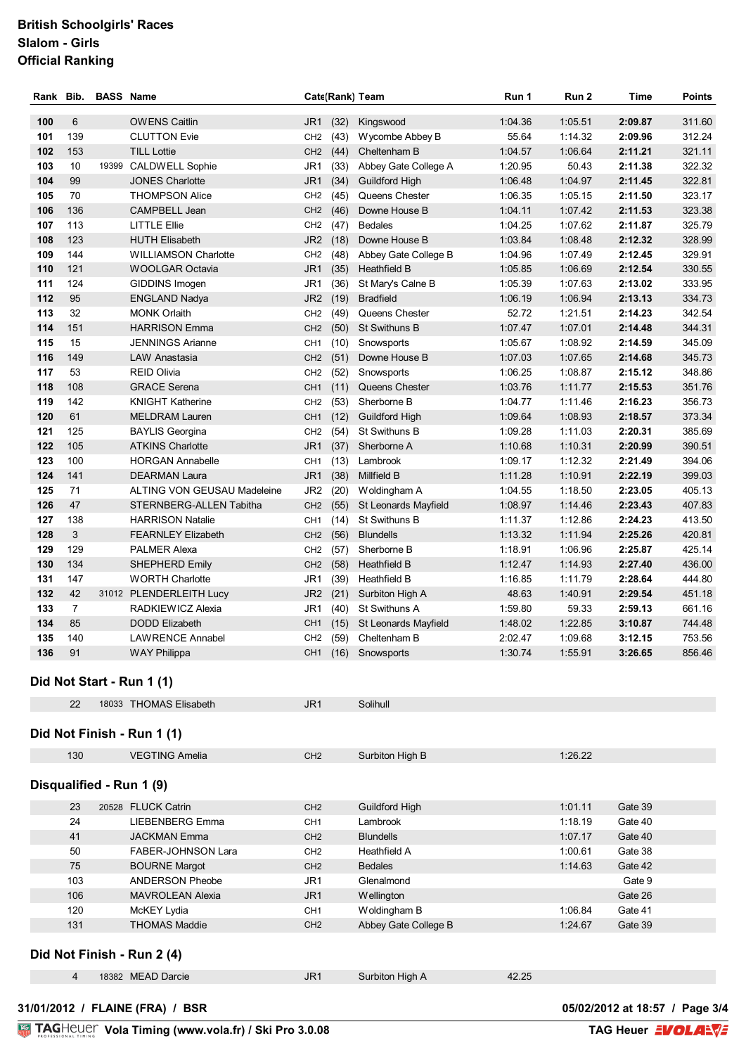#### **British Schoolgirls' Races Slalom - Girls Official Ranking**

| Rank | Bib.           | <b>BASS Name</b> |                             |                 | Cate(Rank) Team |                       | Run 1   | Run <sub>2</sub> | <b>Time</b> | <b>Points</b> |
|------|----------------|------------------|-----------------------------|-----------------|-----------------|-----------------------|---------|------------------|-------------|---------------|
| 100  | 6              |                  | <b>OWENS Caitlin</b>        | JR <sub>1</sub> | (32)            | Kingswood             | 1:04.36 | 1:05.51          | 2:09.87     | 311.60        |
| 101  | 139            |                  | <b>CLUTTON Evie</b>         | CH <sub>2</sub> | (43)            | Wycombe Abbey B       | 55.64   | 1:14.32          | 2:09.96     | 312.24        |
| 102  | 153            |                  | <b>TILL Lottie</b>          | CH2 (44)        |                 | Cheltenham B          | 1:04.57 | 1:06.64          | 2:11.21     | 321.11        |
| 103  | 10             |                  | 19399 CALDWELL Sophie       | JR1             | (33)            | Abbey Gate College A  | 1:20.95 | 50.43            | 2:11.38     | 322.32        |
| 104  | 99             |                  | <b>JONES Charlotte</b>      | JR <sub>1</sub> | (34)            | <b>Guildford High</b> | 1:06.48 | 1:04.97          | 2:11.45     | 322.81        |
| 105  | 70             |                  | <b>THOMPSON Alice</b>       | CH <sub>2</sub> | (45)            | Queens Chester        | 1:06.35 | 1:05.15          | 2:11.50     | 323.17        |
| 106  | 136            |                  | CAMPBELL Jean               | CH <sub>2</sub> | (46)            | Downe House B         | 1:04.11 | 1:07.42          | 2:11.53     | 323.38        |
| 107  | 113            |                  | <b>LITTLE Ellie</b>         | CH <sub>2</sub> | (47)            | <b>Bedales</b>        | 1:04.25 | 1:07.62          | 2:11.87     | 325.79        |
| 108  | 123            |                  | <b>HUTH Elisabeth</b>       |                 | JR2 (18)        | Downe House B         | 1:03.84 | 1:08.48          | 2:12.32     | 328.99        |
| 109  | 144            |                  | <b>WILLIAMSON Charlotte</b> | CH <sub>2</sub> | (48)            | Abbey Gate College B  | 1:04.96 | 1:07.49          | 2:12.45     | 329.91        |
| 110  | 121            |                  | <b>WOOLGAR Octavia</b>      | JR1             | (35)            | <b>Heathfield B</b>   | 1:05.85 | 1:06.69          | 2:12.54     | 330.55        |
| 111  | 124            |                  | GIDDINS Imogen              | JR1             | (36)            | St Mary's Calne B     | 1:05.39 | 1:07.63          | 2:13.02     | 333.95        |
| 112  | 95             |                  | <b>ENGLAND Nadya</b>        | JR <sub>2</sub> | (19)            | <b>Bradfield</b>      | 1:06.19 | 1:06.94          | 2:13.13     | 334.73        |
| 113  | 32             |                  | <b>MONK Orlaith</b>         | CH <sub>2</sub> | (49)            | Queens Chester        | 52.72   | 1:21.51          | 2:14.23     | 342.54        |
| 114  | 151            |                  | <b>HARRISON Emma</b>        | CH <sub>2</sub> | (50)            | <b>St Swithuns B</b>  | 1:07.47 | 1:07.01          | 2:14.48     | 344.31        |
| 115  | 15             |                  | <b>JENNINGS Arianne</b>     | CH <sub>1</sub> | (10)            | Snowsports            | 1:05.67 | 1:08.92          | 2:14.59     | 345.09        |
| 116  | 149            |                  | LAW Anastasia               | CH <sub>2</sub> | (51)            | Downe House B         | 1:07.03 | 1:07.65          | 2:14.68     | 345.73        |
| 117  | 53             |                  | <b>REID Olivia</b>          | CH <sub>2</sub> | (52)            | Snowsports            | 1:06.25 | 1:08.87          | 2:15.12     | 348.86        |
| 118  | 108            |                  | <b>GRACE Serena</b>         | CH <sub>1</sub> | (11)            | Queens Chester        | 1:03.76 | 1:11.77          | 2:15.53     | 351.76        |
| 119  | 142            |                  | <b>KNIGHT Katherine</b>     | CH <sub>2</sub> | (53)            | Sherborne B           | 1:04.77 | 1:11.46          | 2:16.23     | 356.73        |
| 120  | 61             |                  | <b>MELDRAM Lauren</b>       | CH <sub>1</sub> | (12)            | <b>Guildford High</b> | 1:09.64 | 1:08.93          | 2:18.57     | 373.34        |
| 121  | 125            |                  | <b>BAYLIS Georgina</b>      | CH <sub>2</sub> | (54)            | St Swithuns B         | 1:09.28 | 1:11.03          | 2:20.31     | 385.69        |
| 122  | 105            |                  | <b>ATKINS Charlotte</b>     | JR <sub>1</sub> | (37)            | Sherborne A           | 1:10.68 | 1:10.31          | 2:20.99     | 390.51        |
| 123  | 100            |                  | <b>HORGAN Annabelle</b>     | CH <sub>1</sub> | (13)            | Lambrook              | 1:09.17 | 1:12.32          | 2:21.49     | 394.06        |
| 124  | 141            |                  | <b>DEARMAN Laura</b>        | JR <sub>1</sub> | (38)            | Millfield B           | 1:11.28 | 1:10.91          | 2:22.19     | 399.03        |
| 125  | 71             |                  | ALTING VON GEUSAU Madeleine | JR <sub>2</sub> | (20)            | Woldingham A          | 1:04.55 | 1:18.50          | 2:23.05     | 405.13        |
| 126  | 47             |                  | STERNBERG-ALLEN Tabitha     | CH <sub>2</sub> | (55)            | St Leonards Mayfield  | 1:08.97 | 1:14.46          | 2:23.43     | 407.83        |
| 127  | 138            |                  | <b>HARRISON Natalie</b>     | CH1             | (14)            | <b>St Swithuns B</b>  | 1:11.37 | 1:12.86          | 2:24.23     | 413.50        |
| 128  | 3              |                  | <b>FEARNLEY Elizabeth</b>   | CH2 (56)        |                 | <b>Blundells</b>      | 1:13.32 | 1:11.94          | 2:25.26     | 420.81        |
| 129  | 129            |                  | <b>PALMER Alexa</b>         | CH <sub>2</sub> | (57)            | Sherborne B           | 1:18.91 | 1:06.96          | 2:25.87     | 425.14        |
| 130  | 134            |                  | <b>SHEPHERD Emily</b>       | CH <sub>2</sub> | (58)            | <b>Heathfield B</b>   | 1:12.47 | 1:14.93          | 2:27.40     | 436.00        |
| 131  | 147            |                  | <b>WORTH Charlotte</b>      | JR1             | (39)            | Heathfield B          | 1:16.85 | 1:11.79          | 2:28.64     | 444.80        |
| 132  | 42             |                  | 31012 PLENDERLEITH Lucy     | JR <sub>2</sub> | (21)            | Surbiton High A       | 48.63   | 1:40.91          | 2:29.54     | 451.18        |
| 133  | $\overline{7}$ |                  | RADKIEWICZ Alexia           | JR1             | (40)            | St Swithuns A         | 1:59.80 | 59.33            | 2:59.13     | 661.16        |
| 134  | 85             |                  | <b>DODD Elizabeth</b>       | CH <sub>1</sub> | (15)            | St Leonards Mayfield  | 1:48.02 | 1:22.85          | 3:10.87     | 744.48        |
| 135  | 140            |                  | <b>LAWRENCE Annabel</b>     | CH <sub>2</sub> | (59)            | Cheltenham B          | 2:02.47 | 1:09.68          | 3:12.15     | 753.56        |
| 136  | 91             |                  | <b>WAY Philippa</b>         | CH <sub>1</sub> | (16)            | Snowsports            | 1:30.74 | 1:55.91          | 3:26.65     | 856.46        |
|      |                |                  | Did Not Start - Run 1 (1)   |                 |                 |                       |         |                  |             |               |
|      | 22             |                  | 18033 THOMAS Elisabeth      | JR <sub>1</sub> |                 | Solihull              |         |                  |             |               |

## **Did Not Finish - Run 1 (1)**

| 130 | <b>VEGTING Amelia</b> | CH <sub>2</sub> | Surbiton High B | 1:26.22 |
|-----|-----------------------|-----------------|-----------------|---------|
|     |                       |                 |                 |         |

#### **Disqualified - Run 1 (9)**

| 23  | 20528 FLUCK Catrin        | CH <sub>2</sub> | Guildford High       | 1:01.11 | Gate 39 |
|-----|---------------------------|-----------------|----------------------|---------|---------|
| 24  | LIEBENBERG Emma           | CH <sub>1</sub> | Lambrook             | 1:18.19 | Gate 40 |
| 41  | <b>JACKMAN Emma</b>       | CH <sub>2</sub> | <b>Blundells</b>     | 1:07.17 | Gate 40 |
| 50  | <b>FABER-JOHNSON Lara</b> | CH <sub>2</sub> | Heathfield A         | 1:00.61 | Gate 38 |
| 75  | <b>BOURNE Margot</b>      | CH <sub>2</sub> | <b>Bedales</b>       | 1:14.63 | Gate 42 |
| 103 | ANDERSON Pheobe           | JR <sub>1</sub> | Glenalmond           |         | Gate 9  |
| 106 | <b>MAVROLEAN Alexia</b>   | JR <sub>1</sub> | Wellington           |         | Gate 26 |
| 120 | McKEY Lydia               | CH <sub>1</sub> | Woldingham B         | 1:06.84 | Gate 41 |
| 131 | <b>THOMAS Maddie</b>      | CH <sub>2</sub> | Abbey Gate College B | 1:24.67 | Gate 39 |

## **Did Not Finish - Run 2 (4)**

**31/01/2012 / FLAINE (FRA) / BSR 05/02/2012 at 18:57 / Page 3/4**